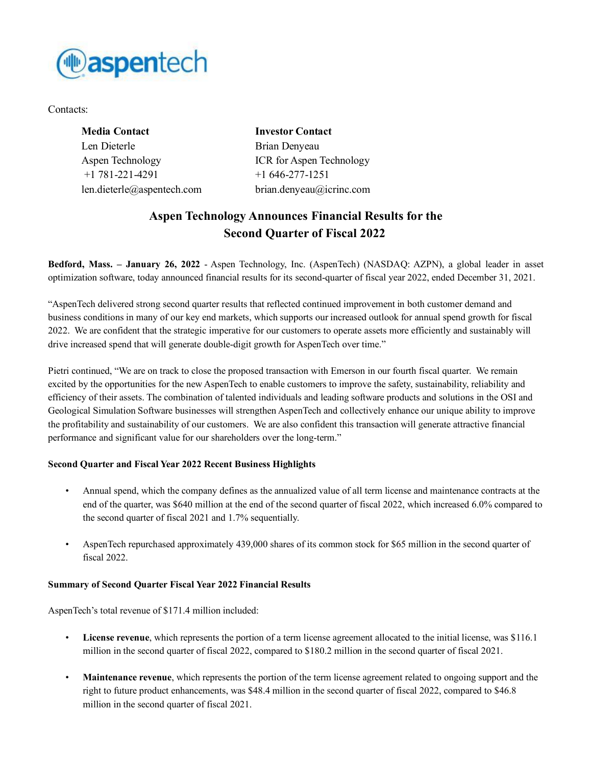

Contacts:

| <b>Investor Contact</b>         |
|---------------------------------|
| Brian Denyeau                   |
| <b>ICR</b> for Aspen Technology |
| $+1646-277-1251$                |
| brian.denyeau@icrinc.com        |
|                                 |

# **Aspen Technology Announces Financial Results for the Second Quarter of Fiscal 2022**

**Bedford, Mass. – January 26, 2022** - Aspen Technology, Inc. (AspenTech) (NASDAQ: AZPN), a global leader in asset optimization software, today announced financial results for its second-quarter of fiscal year 2022, ended December 31, 2021.

"AspenTech delivered strong second quarter results that reflected continued improvement in both customer demand and business conditions in many of our key end markets, which supports our increased outlook for annual spend growth for fiscal 2022. We are confident that the strategic imperative for our customers to operate assets more efficiently and sustainably will drive increased spend that will generate double-digit growth for AspenTech over time."

Pietri continued, "We are on track to close the proposed transaction with Emerson in our fourth fiscal quarter. We remain excited by the opportunities for the new AspenTech to enable customers to improve the safety, sustainability, reliability and efficiency of their assets. The combination of talented individuals and leading software products and solutions in the OSI and Geological Simulation Software businesses will strengthen AspenTech and collectively enhance our unique ability to improve the profitability and sustainability of our customers. We are also confident this transaction will generate attractive financial performance and significant value for our shareholders over the long-term."

## **Second Quarter and Fiscal Year 2022 Recent Business Highlights**

- Annual spend, which the company defines as the annualized value of all term license and maintenance contracts at the end of the quarter, was \$640 million at the end of the second quarter of fiscal 2022, which increased 6.0% compared to the second quarter of fiscal 2021 and 1.7% sequentially.
- AspenTech repurchased approximately 439,000 shares of its common stock for \$65 million in the second quarter of fiscal 2022.

## **Summary of Second Quarter Fiscal Year 2022 Financial Results**

AspenTech's total revenue of \$171.4 million included:

- **License revenue**, which represents the portion of a term license agreement allocated to the initial license, was \$116.1 million in the second quarter of fiscal 2022, compared to \$180.2 million in the second quarter of fiscal 2021.
- **Maintenance revenue**, which represents the portion of the term license agreement related to ongoing support and the right to future product enhancements, was \$48.4 million in the second quarter of fiscal 2022, compared to \$46.8 million in the second quarter of fiscal 2021.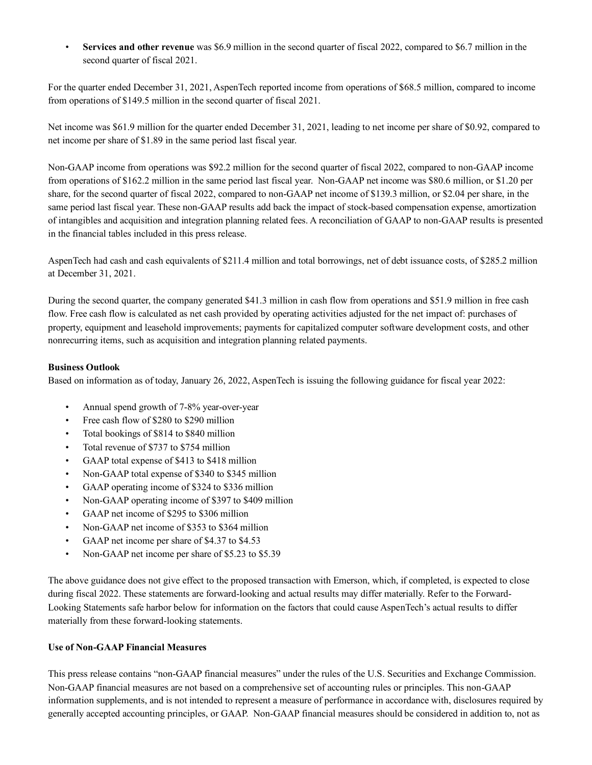• **Services and other revenue** was \$6.9 million in the second quarter of fiscal 2022, compared to \$6.7 million in the second quarter of fiscal 2021.

For the quarter ended December 31, 2021, AspenTech reported income from operations of \$68.5 million, compared to income from operations of \$149.5 million in the second quarter of fiscal 2021.

Net income was \$61.9 million for the quarter ended December 31, 2021, leading to net income per share of \$0.92, compared to net income per share of \$1.89 in the same period last fiscal year.

Non-GAAP income from operations was \$92.2 million for the second quarter of fiscal 2022, compared to non-GAAP income from operations of \$162.2 million in the same period last fiscal year. Non-GAAP net income was \$80.6 million, or \$1.20 per share, for the second quarter of fiscal 2022, compared to non-GAAP net income of \$139.3 million, or \$2.04 per share, in the same period last fiscal year. These non-GAAP results add back the impact of stock-based compensation expense, amortization of intangibles and acquisition and integration planning related fees. A reconciliation of GAAP to non-GAAP results is presented in the financial tables included in this press release.

AspenTech had cash and cash equivalents of \$211.4 million and total borrowings, net of debt issuance costs, of \$285.2 million at December 31, 2021.

During the second quarter, the company generated \$41.3 million in cash flow from operations and \$51.9 million in free cash flow. Free cash flow is calculated as net cash provided by operating activities adjusted for the net impact of: purchases of property, equipment and leasehold improvements; payments for capitalized computer software development costs, and other nonrecurring items, such as acquisition and integration planning related payments.

## **Business Outlook**

Based on information as of today, January 26, 2022, AspenTech is issuing the following guidance for fiscal year 2022:

- Annual spend growth of 7-8% year-over-year
- Free cash flow of \$280 to \$290 million
- Total bookings of \$814 to \$840 million
- Total revenue of \$737 to \$754 million
- GAAP total expense of \$413 to \$418 million
- Non-GAAP total expense of \$340 to \$345 million
- GAAP operating income of \$324 to \$336 million
- Non-GAAP operating income of \$397 to \$409 million
- GAAP net income of \$295 to \$306 million
- Non-GAAP net income of \$353 to \$364 million
- GAAP net income per share of \$4.37 to \$4.53
- Non-GAAP net income per share of \$5.23 to \$5.39

The above guidance does not give effect to the proposed transaction with Emerson, which, if completed, is expected to close during fiscal 2022. These statements are forward-looking and actual results may differ materially. Refer to the Forward-Looking Statements safe harbor below for information on the factors that could cause AspenTech's actual results to differ materially from these forward-looking statements.

## **Use of Non-GAAP Financial Measures**

This press release contains "non-GAAP financial measures" under the rules of the U.S. Securities and Exchange Commission. Non-GAAP financial measures are not based on a comprehensive set of accounting rules or principles. This non-GAAP information supplements, and is not intended to represent a measure of performance in accordance with, disclosures required by generally accepted accounting principles, or GAAP. Non-GAAP financial measures should be considered in addition to, not as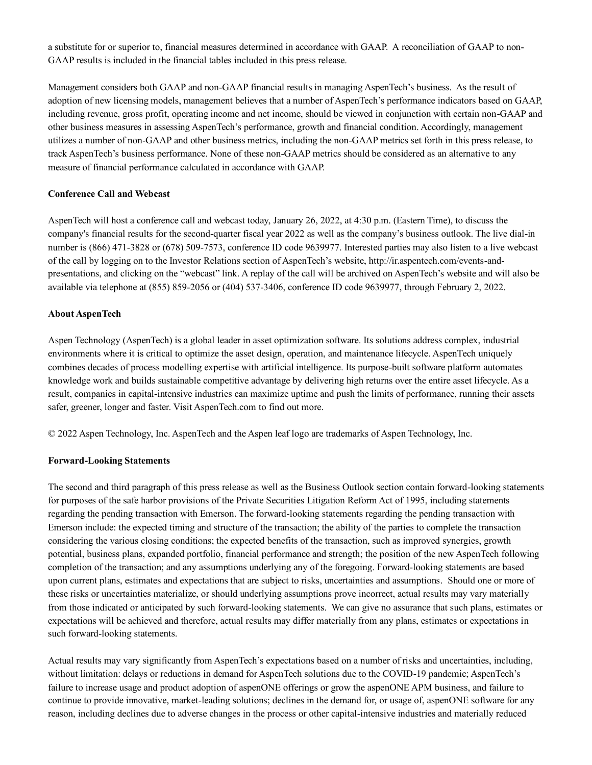a substitute for or superior to, financial measures determined in accordance with GAAP. A reconciliation of GAAP to non-GAAP results is included in the financial tables included in this press release.

Management considers both GAAP and non-GAAP financial results in managing AspenTech's business. As the result of adoption of new licensing models, management believes that a number of AspenTech's performance indicators based on GAAP, including revenue, gross profit, operating income and net income, should be viewed in conjunction with certain non-GAAP and other business measures in assessing AspenTech's performance, growth and financial condition. Accordingly, management utilizes a number of non-GAAP and other business metrics, including the non-GAAP metrics set forth in this press release, to track AspenTech's business performance. None of these non-GAAP metrics should be considered as an alternative to any measure of financial performance calculated in accordance with GAAP.

## **Conference Call and Webcast**

AspenTech will host a conference call and webcast today, January 26, 2022, at 4:30 p.m. (Eastern Time), to discuss the company's financial results for the second-quarter fiscal year 2022 as well as the company's business outlook. The live dial-in number is (866) 471-3828 or (678) 509-7573, conference ID code 9639977. Interested parties may also listen to a live webcast of the call by logging on to the Investor Relations section of AspenTech's website, http://ir.aspentech.com/events-andpresentations, and clicking on the "webcast" link. A replay of the call will be archived on AspenTech's website and will also be available via telephone at (855) 859-2056 or (404) 537-3406, conference ID code 9639977, through February 2, 2022.

## **About AspenTech**

Aspen Technology (AspenTech) is a global leader in asset optimization software. Its solutions address complex, industrial environments where it is critical to optimize the asset design, operation, and maintenance lifecycle. AspenTech uniquely combines decades of process modelling expertise with artificial intelligence. Its purpose-built software platform automates knowledge work and builds sustainable competitive advantage by delivering high returns over the entire asset lifecycle. As a result, companies in capital-intensive industries can maximize uptime and push the limits of performance, running their assets safer, greener, longer and faster. Visit AspenTech.com to find out more.

© 2022 Aspen Technology, Inc. AspenTech and the Aspen leaf logo are trademarks of Aspen Technology, Inc.

## **Forward-Looking Statements**

The second and third paragraph of this press release as well as the Business Outlook section contain forward-looking statements for purposes of the safe harbor provisions of the Private Securities Litigation Reform Act of 1995, including statements regarding the pending transaction with Emerson. The forward-looking statements regarding the pending transaction with Emerson include: the expected timing and structure of the transaction; the ability of the parties to complete the transaction considering the various closing conditions; the expected benefits of the transaction, such as improved synergies, growth potential, business plans, expanded portfolio, financial performance and strength; the position of the new AspenTech following completion of the transaction; and any assumptions underlying any of the foregoing. Forward-looking statements are based upon current plans, estimates and expectations that are subject to risks, uncertainties and assumptions. Should one or more of these risks or uncertainties materialize, or should underlying assumptions prove incorrect, actual results may vary materially from those indicated or anticipated by such forward-looking statements. We can give no assurance that such plans, estimates or expectations will be achieved and therefore, actual results may differ materially from any plans, estimates or expectations in such forward-looking statements.

Actual results may vary significantly from AspenTech's expectations based on a number of risks and uncertainties, including, without limitation: delays or reductions in demand for AspenTech solutions due to the COVID-19 pandemic; AspenTech's failure to increase usage and product adoption of aspenONE offerings or grow the aspenONE APM business, and failure to continue to provide innovative, market-leading solutions; declines in the demand for, or usage of, aspenONE software for any reason, including declines due to adverse changes in the process or other capital-intensive industries and materially reduced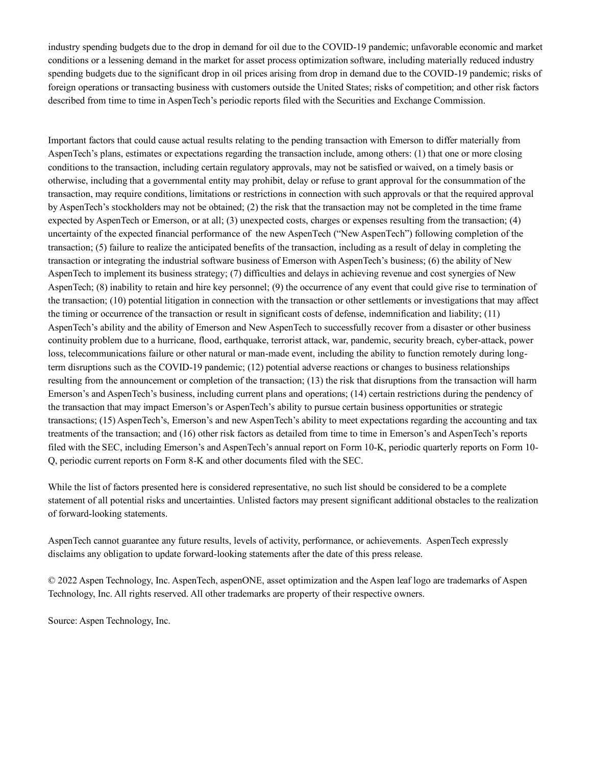industry spending budgets due to the drop in demand for oil due to the COVID-19 pandemic; unfavorable economic and market conditions or a lessening demand in the market for asset process optimization software, including materially reduced industry spending budgets due to the significant drop in oil prices arising from drop in demand due to the COVID-19 pandemic; risks of foreign operations or transacting business with customers outside the United States; risks of competition; and other risk factors described from time to time in AspenTech's periodic reports filed with the Securities and Exchange Commission.

Important factors that could cause actual results relating to the pending transaction with Emerson to differ materially from AspenTech's plans, estimates or expectations regarding the transaction include, among others: (1) that one or more closing conditions to the transaction, including certain regulatory approvals, may not be satisfied or waived, on a timely basis or otherwise, including that a governmental entity may prohibit, delay or refuse to grant approval for the consummation of the transaction, may require conditions, limitations or restrictions in connection with such approvals or that the required approval by AspenTech's stockholders may not be obtained; (2) the risk that the transaction may not be completed in the time frame expected by AspenTech or Emerson, or at all; (3) unexpected costs, charges or expenses resulting from the transaction; (4) uncertainty of the expected financial performance of the new AspenTech ("New AspenTech") following completion of the transaction; (5) failure to realize the anticipated benefits of the transaction, including as a result of delay in completing the transaction or integrating the industrial software business of Emerson with AspenTech's business; (6) the ability of New AspenTech to implement its business strategy; (7) difficulties and delays in achieving revenue and cost synergies of New AspenTech; (8) inability to retain and hire key personnel; (9) the occurrence of any event that could give rise to termination of the transaction; (10) potential litigation in connection with the transaction or other settlements or investigations that may affect the timing or occurrence of the transaction or result in significant costs of defense, indemnification and liability; (11) AspenTech's ability and the ability of Emerson and New AspenTech to successfully recover from a disaster or other business continuity problem due to a hurricane, flood, earthquake, terrorist attack, war, pandemic, security breach, cyber-attack, power loss, telecommunications failure or other natural or man-made event, including the ability to function remotely during longterm disruptions such as the COVID-19 pandemic; (12) potential adverse reactions or changes to business relationships resulting from the announcement or completion of the transaction; (13) the risk that disruptions from the transaction will harm Emerson's and AspenTech's business, including current plans and operations; (14) certain restrictions during the pendency of the transaction that may impact Emerson's or AspenTech's ability to pursue certain business opportunities or strategic transactions; (15) AspenTech's, Emerson's and new AspenTech's ability to meet expectations regarding the accounting and tax treatments of the transaction; and (16) other risk factors as detailed from time to time in Emerson's and AspenTech's reports filed with the SEC, including Emerson's and AspenTech's annual report on Form 10-K, periodic quarterly reports on Form 10- Q, periodic current reports on Form 8-K and other documents filed with the SEC.

While the list of factors presented here is considered representative, no such list should be considered to be a complete statement of all potential risks and uncertainties. Unlisted factors may present significant additional obstacles to the realization of forward-looking statements.

AspenTech cannot guarantee any future results, levels of activity, performance, or achievements. AspenTech expressly disclaims any obligation to update forward-looking statements after the date of this press release.

© 2022 Aspen Technology, Inc. AspenTech, aspenONE, asset optimization and the Aspen leaf logo are trademarks of Aspen Technology, Inc. All rights reserved. All other trademarks are property of their respective owners.

Source: Aspen Technology, Inc.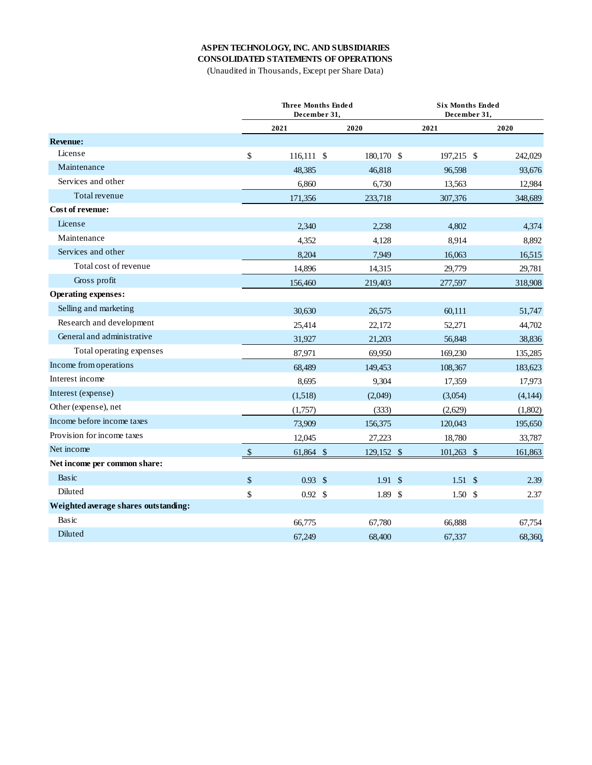# **ASPEN TECHNOLOGY, INC. AND SUBSIDIARIES**

**CONSOLIDATED STATEMENTS OF OPERATIONS**

(Unaudited in Thousands, Except per Share Data)

|                                      |               | <b>Three Months Ended</b><br>December 31. |            |                    | <b>Six Months Ended</b><br>December 31. |  |  |  |  |
|--------------------------------------|---------------|-------------------------------------------|------------|--------------------|-----------------------------------------|--|--|--|--|
|                                      |               | 2021                                      | 2020       | 2021               | 2020                                    |  |  |  |  |
| <b>Revenue:</b>                      |               |                                           |            |                    |                                         |  |  |  |  |
| License                              | \$            | 116,111 \$                                | 180,170 \$ | 197,215 \$         | 242,029                                 |  |  |  |  |
| Maintenance                          |               | 48,385                                    | 46,818     | 96,598             | 93,676                                  |  |  |  |  |
| Services and other                   |               | 6.860                                     | 6,730      | 13,563             | 12,984                                  |  |  |  |  |
| Total revenue                        |               | 171,356                                   | 233,718    | 307,376            | 348,689                                 |  |  |  |  |
| Cost of revenue:                     |               |                                           |            |                    |                                         |  |  |  |  |
| License                              |               | 2.340                                     | 2,238      | 4.802              | 4,374                                   |  |  |  |  |
| Maintenance                          |               | 4,352                                     | 4,128      | 8,914              | 8,892                                   |  |  |  |  |
| Services and other                   |               | 8,204                                     | 7,949      | 16,063             | 16,515                                  |  |  |  |  |
| Total cost of revenue                |               | 14,896                                    | 14,315     | 29,779             | 29,781                                  |  |  |  |  |
| Gross profit                         |               | 156,460                                   | 219,403    | 277,597            | 318,908                                 |  |  |  |  |
| <b>Operating expenses:</b>           |               |                                           |            |                    |                                         |  |  |  |  |
| Selling and marketing                |               | 30.630                                    | 26,575     | 60,111             | 51,747                                  |  |  |  |  |
| Research and development             |               | 25,414                                    | 22,172     | 52,271             | 44,702                                  |  |  |  |  |
| General and administrative           |               | 31,927                                    | 21,203     | 56,848             | 38,836                                  |  |  |  |  |
| Total operating expenses             |               | 87,971                                    | 69,950     | 169,230            | 135,285                                 |  |  |  |  |
| Income from operations               |               | 68,489                                    | 149,453    | 108,367            | 183,623                                 |  |  |  |  |
| Interest income                      |               | 8,695                                     | 9,304      | 17,359             | 17,973                                  |  |  |  |  |
| Interest (expense)                   |               | (1,518)                                   | (2,049)    | (3,054)            | (4,144)                                 |  |  |  |  |
| Other (expense), net                 |               | (1,757)                                   | (333)      | (2,629)            | (1,802)                                 |  |  |  |  |
| Income before income taxes           |               | 73,909                                    | 156,375    | 120,043            | 195,650                                 |  |  |  |  |
| Provision for income taxes           |               | 12,045                                    | 27,223     | 18,780             | 33,787                                  |  |  |  |  |
| Net income                           | $\mathcal{S}$ | 61,864 \$                                 | 129,152 \$ | 101,263 \$         | 161,863                                 |  |  |  |  |
| Net income per common share:         |               |                                           |            |                    |                                         |  |  |  |  |
| Basic                                | \$            | $0.93 \text{ }$ \$                        | 1.91S      | $1.51 \text{ }$ \$ | 2.39                                    |  |  |  |  |
| Diluted                              | \$            | $0.92 \text{ } $$                         | 1.89S      | 1.50S              | 2.37                                    |  |  |  |  |
| Weighted average shares outstanding: |               |                                           |            |                    |                                         |  |  |  |  |
| Basic                                |               | 66,775                                    | 67,780     | 66,888             | 67,754                                  |  |  |  |  |
| Diluted                              |               | 67.249                                    | 68,400     | 67.337             | 68,360.                                 |  |  |  |  |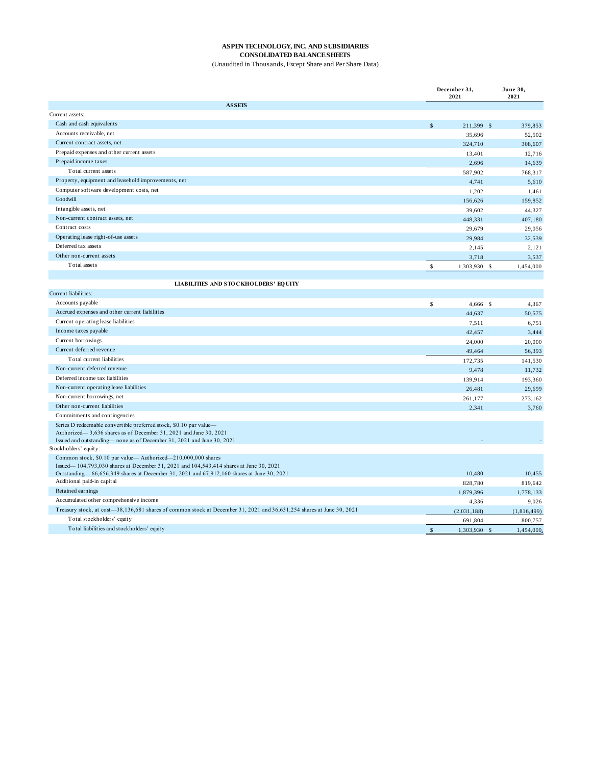#### **ASPEN TECHNOLOGY, INC. AND SUBSIDIARIES CONSOLIDATED BALANCE SHEETS**

(Unaudited in Thousands, Except Share and Per Share Data)

|                                                                                                                                         |               | December 31,<br>2021 | June 30,<br>2021           |
|-----------------------------------------------------------------------------------------------------------------------------------------|---------------|----------------------|----------------------------|
| <b>ASSEIS</b>                                                                                                                           |               |                      |                            |
| Current assets:                                                                                                                         |               |                      |                            |
| Cash and cash equivalents                                                                                                               | $\mathbb{S}$  | 211,399 \$           | 379,853                    |
| Accounts receivable, net                                                                                                                |               | 35,696               | 52,502                     |
| Current contract assets, net                                                                                                            |               | 324,710              | 308,607                    |
| Prepaid expenses and other current assets                                                                                               |               | 13,401               | 12,716                     |
| Prepaid income taxes                                                                                                                    |               | 2,696                | 14,639                     |
| Total current assets                                                                                                                    |               | 587,902              | 768,317                    |
| Property, equipment and leasehold improvements, net                                                                                     |               | 4,741                | 5,610                      |
| Computer software development costs, net                                                                                                |               | 1,202                | 1,461                      |
| Goodwill                                                                                                                                |               | 156,626              | 159,852                    |
| Intangible assets, net                                                                                                                  |               | 39,602               | 44,327                     |
| Non-current contract assets, net                                                                                                        |               | 448,331              | 407,180                    |
| Contract costs                                                                                                                          |               | 29,679               | 29,056                     |
| Operating lease right-of-use assets                                                                                                     |               | 29,984               | 32,539                     |
| Deferred tax assets                                                                                                                     |               | 2,145                | 2,121                      |
| Other non-current assets                                                                                                                |               | 3,718                | 3,537                      |
| Total assets                                                                                                                            | \$            | 1,303,930            | $\mathcal{S}$<br>1,454,000 |
|                                                                                                                                         |               |                      |                            |
| <b>LIABILITIES AND STOCKHOLDERS' EQUITY</b>                                                                                             |               |                      |                            |
| Current liabilities:                                                                                                                    |               |                      |                            |
| Accounts payable                                                                                                                        | \$            | 4,666 \$             | 4,367                      |
| Accrued expenses and other current liabilities                                                                                          |               | 44,637               | 50,575                     |
| Current operating lease liabilities                                                                                                     |               | 7,511                | 6,751                      |
| Income taxes payable                                                                                                                    |               | 42,457               | 3,444                      |
| Current borrowings                                                                                                                      |               | 24,000               | 20,000                     |
| Current deferred revenue                                                                                                                |               | 49,464               | 56,393                     |
| Total current liabilities                                                                                                               |               |                      |                            |
| Non-current deferred revenue                                                                                                            |               | 172,735              | 141,530                    |
| Deferred income tax liabilities                                                                                                         |               | 9,478                | 11,732                     |
| Non-current operating lease liabilities                                                                                                 |               | 139,914              | 193,360                    |
| Non-current borrowings, net                                                                                                             |               | 26,481               | 29,699                     |
| Other non-current liabilities                                                                                                           |               | 261,177              | 273,162                    |
| Commitments and contingencies                                                                                                           |               | 2,341                | 3,760                      |
|                                                                                                                                         |               |                      |                            |
| Series D redeemable convertible preferred stock, \$0.10 par value-<br>Authorized—3,636 shares as of December 31, 2021 and June 30, 2021 |               |                      |                            |
| Issued and outstanding—none as of December 31, 2021 and June 30, 2021                                                                   |               |                      |                            |
| Stockholders' equity:                                                                                                                   |               |                      |                            |
| Common stock, \$0.10 par value—Authorized—210,000,000 shares                                                                            |               |                      |                            |
| Issued—104,793,030 shares at December 31, 2021 and 104,543,414 shares at June 30, 2021                                                  |               |                      |                            |
| Outstanding-66,656,349 shares at December 31, 2021 and 67,912,160 shares at June 30, 2021                                               |               | 10,480               | 10,455                     |
| Additional paid-in capital                                                                                                              |               | 828,780              | 819,642                    |
| Retained earnings                                                                                                                       |               | 1,879,396            | 1,778,133                  |
| Accumulated other comprehensive income                                                                                                  |               | 4,336                | 9,026                      |
| Treasury stock, at cost-38,136,681 shares of common stock at December 31, 2021 and 36,631,254 shares at June 30, 2021                   |               | (2,031,188)          | (1,816,499)                |
| Total stockholders' equity                                                                                                              |               | 691,804              | 800,757                    |
| Total liabilities and stockholders' equity                                                                                              | $\mathcal{S}$ | 1,303,930            | $\mathbf{s}$<br>1,454,000. |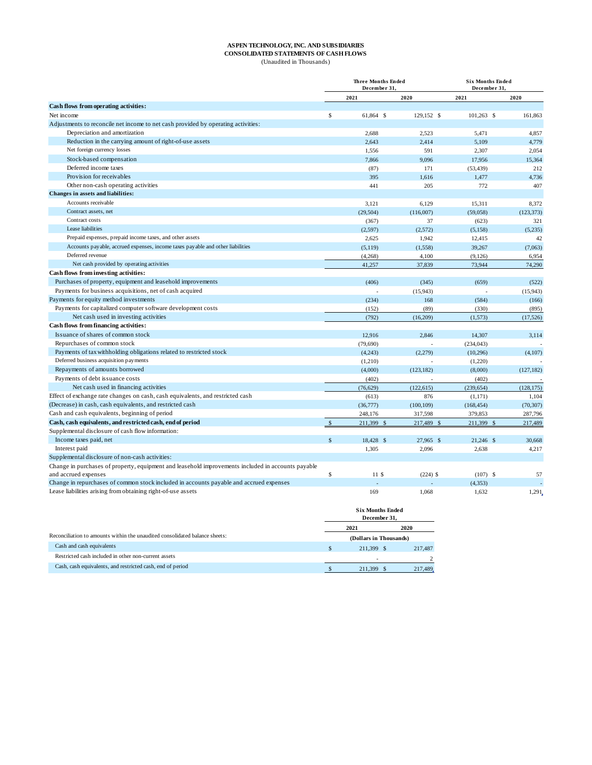#### **ASPEN TECHNOLOGY, INC. AND SUBSIDIARIES CONSOLIDATED STATEMENTS OF CASH FLOWS**

(Unaudited in Thousands)

|                                                                                                    |                    | <b>Three Months Ended</b><br>December 31. |            | <b>Six Months Ended</b><br>December 31. |            |  |  |
|----------------------------------------------------------------------------------------------------|--------------------|-------------------------------------------|------------|-----------------------------------------|------------|--|--|
|                                                                                                    |                    | 2021                                      | 2020       | 2021                                    | 2020       |  |  |
| Cash flows from operating activities:                                                              |                    |                                           |            |                                         |            |  |  |
| Net income                                                                                         | \$                 | 61,864 \$                                 | 129,152 \$ | $101,263$ \$                            | 161,863    |  |  |
| Adjustments to reconcile net income to net cash provided by operating activities:                  |                    |                                           |            |                                         |            |  |  |
| Depreciation and amortization                                                                      |                    | 2,688                                     | 2,523      | 5,471                                   | 4,857      |  |  |
| Reduction in the carrying amount of right-of-use assets                                            |                    | 2,643                                     | 2,414      | 5,109                                   | 4,779      |  |  |
| Net foreign currency losses                                                                        |                    | 1,556                                     | 591        | 2.307                                   | 2,054      |  |  |
| Stock-based compensation                                                                           |                    | 7,866                                     | 9,096      | 17,956                                  | 15,364     |  |  |
| Deferred income taxes                                                                              |                    | (87)                                      | 171        | (53, 439)                               | 212        |  |  |
| Provision for receivables                                                                          |                    | 395                                       | 1,616      | 1,477                                   | 4,736      |  |  |
| Other non-cash operating activities                                                                |                    | 441                                       | 205        | 772                                     | 407        |  |  |
| Changes in assets and liabilities:                                                                 |                    |                                           |            |                                         |            |  |  |
| Accounts receivable                                                                                |                    | 3,121                                     | 6,129      | 15,311                                  | 8,372      |  |  |
| Contract assets, net                                                                               |                    | (29, 504)                                 | (116,007)  | (59,058)                                | (123, 373) |  |  |
| Contract costs                                                                                     |                    | (367)                                     | 37         | (623)                                   | 321        |  |  |
| Lease liabilities                                                                                  |                    | (2,597)                                   | (2,572)    | (5,158)                                 | (5,235)    |  |  |
| Prepaid expenses, prepaid income taxes, and other assets                                           |                    | 2,625                                     | 1,942      | 12,415                                  | 42         |  |  |
| Accounts payable, accrued expenses, income taxes payable and other liabilities                     |                    | (5, 119)                                  | (1,558)    | 39,267                                  | (7,063)    |  |  |
| Deferred revenue                                                                                   |                    | (4,268)                                   | 4,100      | (9, 126)                                | 6,954      |  |  |
| Net cash provided by operating activities                                                          |                    | 41,257                                    | 37,839     | 73,944                                  | 74,290     |  |  |
| Cash flows from investing activities:                                                              |                    |                                           |            |                                         |            |  |  |
| Purchases of property, equipment and leasehold improvements                                        |                    | (406)                                     | (345)      | (659)                                   | (522)      |  |  |
| Payments for business acquisitions, net of cash acquired                                           |                    |                                           | (15,943)   |                                         | (15,943)   |  |  |
| Payments for equity method investments                                                             |                    | (234)                                     | 168        | (584)                                   | (166)      |  |  |
| Payments for capitalized computer software development costs                                       |                    | (152)                                     | (89)       | (330)                                   | (895)      |  |  |
| Net cash used in investing activities                                                              |                    | (792)                                     | (16,209)   | (1,573)                                 | (17,526)   |  |  |
| Cash flows from financing activities:                                                              |                    |                                           |            |                                         |            |  |  |
| Issuance of shares of common stock                                                                 |                    | 12,916                                    | 2,846      | 14,307                                  | 3,114      |  |  |
| Repurchases of common stock                                                                        |                    | (79, 690)                                 |            | (234, 043)                              |            |  |  |
| Payments of tax withholding obligations related to restricted stock                                |                    | (4,243)                                   | (2,279)    | (10, 296)                               | (4,107)    |  |  |
| Deferred business acquisition payments                                                             |                    | (1,210)                                   |            | (1,220)                                 |            |  |  |
| Repayments of amounts borrowed                                                                     |                    | (4,000)                                   | (123, 182) | (8,000)                                 | (127, 182) |  |  |
| Payments of debt issuance costs                                                                    |                    | (402)                                     |            | (402)                                   |            |  |  |
| Net cash used in financing activities                                                              |                    | (76, 629)                                 | (122, 615) | (239, 654)                              | (128, 175) |  |  |
| Effect of exchange rate changes on cash, cash equivalents, and restricted cash                     |                    | (613)                                     | 876        | (1, 171)                                | 1,104      |  |  |
| (Decrease) in cash, cash equivalents, and restricted cash                                          |                    | (36,777)                                  | (100, 109) | (168, 454)                              | (70, 307)  |  |  |
| Cash and cash equivalents, beginning of period                                                     |                    | 248,176                                   | 317,598    | 379,853                                 | 287,796    |  |  |
| Cash, cash equivalents, and restricted cash, end of period                                         | $\sqrt{5}$         | 211,399 \$                                | 217,489 \$ | 211,399 \$                              | 217,489    |  |  |
| Supplemental disclosure of cash flow information:                                                  |                    |                                           |            |                                         |            |  |  |
| Income taxes paid, net                                                                             | $\mathbf{\hat{S}}$ | 18,428 \$                                 | 27,965 \$  | 21,246 \$                               | 30,668     |  |  |
| Interest paid                                                                                      |                    | 1,305                                     | 2,096      | 2,638                                   | 4,217      |  |  |
| Supplemental disclosure of non-cash activities:                                                    |                    |                                           |            |                                         |            |  |  |
| Change in purchases of property, equipment and leasehold improvements included in accounts payable |                    |                                           |            |                                         |            |  |  |
| and accrued expenses                                                                               | \$                 | 11S                                       | $(224)$ \$ | $(107)$ \$                              | 57         |  |  |
| Change in repurchases of common stock included in accounts payable and accrued expenses            |                    |                                           |            | (4, 353)                                |            |  |  |
| Lease liabilities arising from obtaining right-of-use assets                                       |                    | 169                                       | 1,068      | 1,632                                   | 1,291      |  |  |
|                                                                                                    |                    |                                           |            |                                         |            |  |  |

|                                                                             |     | <b>Six Months Ended</b><br>December 31. |               |  |  |
|-----------------------------------------------------------------------------|-----|-----------------------------------------|---------------|--|--|
|                                                                             |     | 2021                                    | 2020          |  |  |
| Reconciliation to amounts within the unaudited consolidated balance sheets: |     | (Dollars in Thousands)                  |               |  |  |
| Cash and cash equivalents                                                   | \$. | 211.399 \$                              | 217,487       |  |  |
| Restricted cash included in other non-current assets                        |     |                                         | $\mathcal{D}$ |  |  |
| Cash, cash equivalents, and restricted cash, end of period                  |     | 211.399                                 | 217,489.      |  |  |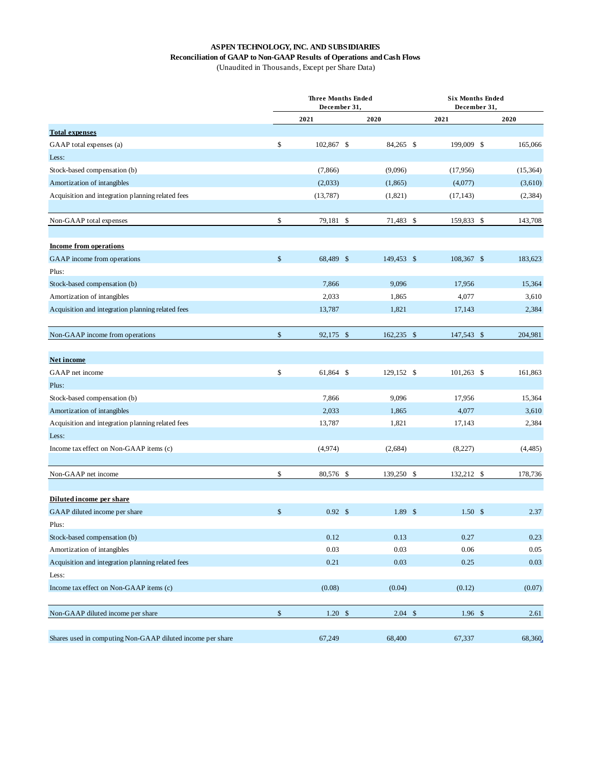#### **ASPEN TECHNOLOGY, INC. AND SUBSIDIARIES**

## **Reconciliation of GAAP to Non-GAAP Results of Operations and Cash Flows**

(Unaudited in Thousands, Except per Share Data)

|                                                            | <b>Three Months Ended</b><br>December 31, |  |            |  | <b>Six Months Ended</b><br>December 31, |  |           |  |
|------------------------------------------------------------|-------------------------------------------|--|------------|--|-----------------------------------------|--|-----------|--|
|                                                            | 2021                                      |  | 2020       |  | 2021                                    |  | 2020      |  |
| <b>Total expenses</b>                                      |                                           |  |            |  |                                         |  |           |  |
| GAAP total expenses (a)                                    | \$<br>102,867 \$                          |  | 84,265 \$  |  | 199,009 \$                              |  | 165,066   |  |
| Less:                                                      |                                           |  |            |  |                                         |  |           |  |
| Stock-based compensation (b)                               | (7, 866)                                  |  | (9,096)    |  | (17,956)                                |  | (15, 364) |  |
| Amortization of intangibles                                | (2,033)                                   |  | (1,865)    |  | (4,077)                                 |  | (3,610)   |  |
| Acquisition and integration planning related fees          | (13,787)                                  |  | (1,821)    |  | (17, 143)                               |  | (2, 384)  |  |
| Non-GAAP total expenses                                    | \$<br>79,181 \$                           |  | 71,483 \$  |  | 159,833 \$                              |  | 143,708   |  |
| <b>Income from operations</b>                              |                                           |  |            |  |                                         |  |           |  |
| GAAP income from operations                                | \$<br>68,489 \$                           |  | 149,453 \$ |  | 108,367 \$                              |  | 183,623   |  |
| Plus:                                                      |                                           |  |            |  |                                         |  |           |  |
| Stock-based compensation (b)                               | 7,866                                     |  | 9,096      |  | 17,956                                  |  | 15,364    |  |
| Amortization of intangibles                                | 2,033                                     |  | 1,865      |  | 4,077                                   |  | 3,610     |  |
| Acquisition and integration planning related fees          | 13,787                                    |  | 1,821      |  | 17,143                                  |  | 2,384     |  |
| Non-GAAP income from operations                            | \$<br>92,175 \$                           |  | 162,235 \$ |  | 147,543 \$                              |  | 204,981   |  |
| Net income                                                 |                                           |  |            |  |                                         |  |           |  |
| GAAP net income                                            | \$<br>61,864 \$                           |  | 129,152 \$ |  | $101,263$ \$                            |  | 161,863   |  |
| Plus:                                                      |                                           |  |            |  |                                         |  |           |  |
| Stock-based compensation (b)                               | 7,866                                     |  | 9,096      |  | 17,956                                  |  | 15,364    |  |
| Amortization of intangibles                                | 2,033                                     |  | 1,865      |  | 4,077                                   |  | 3,610     |  |
| Acquisition and integration planning related fees          | 13,787                                    |  | 1,821      |  | 17,143                                  |  | 2,384     |  |
| Less:                                                      |                                           |  |            |  |                                         |  |           |  |
| Income tax effect on Non-GAAP items (c)                    | (4,974)                                   |  | (2,684)    |  | (8,227)                                 |  | (4, 485)  |  |
| Non-GAAP net income                                        | \$<br>80,576 \$                           |  | 139,250 \$ |  | 132,212 \$                              |  | 178,736   |  |
| Diluted income per share                                   |                                           |  |            |  |                                         |  |           |  |
| GAAP diluted income per share                              | \$<br>$0.92 \text{ }$ \$                  |  | 1.89S      |  | 1.50 <sup>5</sup>                       |  | 2.37      |  |
| Plus:                                                      |                                           |  |            |  |                                         |  |           |  |
| Stock-based compensation (b)                               | 0.12                                      |  | 0.13       |  | 0.27                                    |  | 0.23      |  |
| Amortization of intangibles                                | 0.03                                      |  | 0.03       |  | 0.06                                    |  | 0.05      |  |
| Acquisition and integration planning related fees          | 0.21                                      |  | 0.03       |  | 0.25                                    |  | 0.03      |  |
| Less:                                                      |                                           |  |            |  |                                         |  |           |  |
| Income tax effect on Non-GAAP items (c)                    | (0.08)                                    |  | (0.04)     |  | (0.12)                                  |  | (0.07)    |  |
| Non-GAAP diluted income per share                          | \$<br>$1.20$ \$                           |  | $2.04$ \$  |  | $1.96$ \$                               |  | 2.61      |  |
| Shares used in computing Non-GAAP diluted income per share | 67,249                                    |  | 68,400     |  | 67,337                                  |  | 68,360    |  |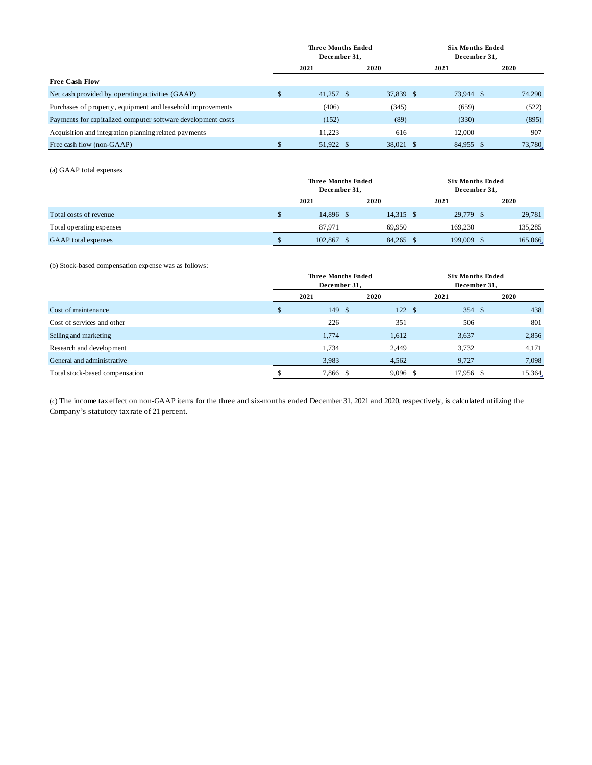|                                                              | <b>Three Months Ended</b><br>December 31, |  |           |  | <b>Six Months Ended</b><br>December 31. |  |         |
|--------------------------------------------------------------|-------------------------------------------|--|-----------|--|-----------------------------------------|--|---------|
|                                                              | 2021                                      |  | 2020      |  | 2021                                    |  | 2020    |
| <b>Free Cash Flow</b>                                        |                                           |  |           |  |                                         |  |         |
| Net cash provided by operating activities (GAAP)             | $41.257$ \$                               |  | 37,839 \$ |  | 73.944 \$                               |  | 74,290  |
| Purchases of property, equipment and leasehold improvements  | (406)                                     |  | (345)     |  | (659)                                   |  | (522)   |
| Payments for capitalized computer software development costs | (152)                                     |  | (89)      |  | (330)                                   |  | (895)   |
| Acquisition and integration planning related payments        | 11.223                                    |  | 616       |  | 12,000                                  |  | 907     |
| Free cash flow (non-GAAP)                                    | 51.922 \$                                 |  | 38.021 \$ |  | 84.955 \$                               |  | 73,780. |

(a) GAAP total expenses

|                            | <b>Three Months Ended</b><br>December 31, |           |  |           | <b>Six Months Ended</b><br>December 31. |  |         |  |
|----------------------------|-------------------------------------------|-----------|--|-----------|-----------------------------------------|--|---------|--|
|                            |                                           | 2021      |  | 2020      | 2021                                    |  | 2020    |  |
| Total costs of revenue     |                                           | 14.896 \$ |  | 14,315 \$ | 29,779 \$                               |  | 29,781  |  |
| Total operating expenses   |                                           | 87.971    |  | 69.950    | 169.230                                 |  | 135,285 |  |
| <b>GAAP</b> total expenses |                                           | 102,867   |  | 84,265 \$ | 199,009                                 |  | 165,066 |  |

(b) Stock-based compensation expense was as follows:

|                                | <b>Three Months Ended</b><br>December 31, |          |      |            |           | <b>Six Months Ended</b><br>December 31, |        |  |  |
|--------------------------------|-------------------------------------------|----------|------|------------|-----------|-----------------------------------------|--------|--|--|
|                                | 2021                                      |          | 2020 |            | 2021      |                                         | 2020   |  |  |
| Cost of maintenance            |                                           | 149S     |      | 122S       | 354S      |                                         | 438    |  |  |
| Cost of services and other     |                                           | 226      |      | 351        | 506       |                                         | 801    |  |  |
| Selling and marketing          |                                           | 1,774    |      | 1,612      | 3,637     |                                         | 2,856  |  |  |
| Research and development       |                                           | 1,734    |      | 2,449      | 3,732     |                                         | 4,171  |  |  |
| General and administrative     |                                           | 3,983    |      | 4,562      | 9,727     |                                         | 7,098  |  |  |
| Total stock-based compensation |                                           | 7,866 \$ |      | $9,096$ \$ | 17,956 \$ |                                         | 15,364 |  |  |

(c) The income tax effect on non-GAAP items for the three and six-months ended December 31, 2021 and 2020, respectively, is calculated utilizing the Company's statutory tax rate of 21 percent.